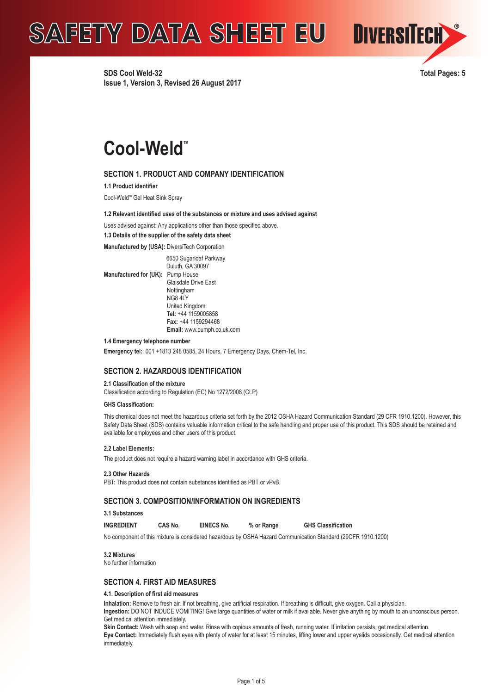**SDS Cool Weld-32 Total Pages: 5 Issue 1, Version 3, Revised 26 August 2017**



# **Cool-Weld**™

# **SECTION 1. PRODUCT AND COMPANY IDENTIFICATION**

**1.1 Product identifier**

Cool-Weld<sup>™</sup> Gel Heat Sink Spray

#### **1.2 Relevant identified uses of the substances or mixture and uses advised against**

Uses advised against: Any applications other than those specified above.

#### **1.3 Details of the supplier of the safety data sheet**

**Manufactured by (USA):** DiversiTech Corporation

 6650 Sugarloaf Parkway Duluth, GA 30097 **Manufactured for (UK):** Pump House Glaisdale Drive East **Nottingham**  NG8 4LY United Kingdom  **Tel:** +44 1159005858  **Fax:** +44 1159294468  **Email:** www.pumph.co.uk.com

**1.4 Emergency telephone number**

**Emergency tel:** 001 +1813 248 0585, 24 Hours, 7 Emergency Days, Chem-Tel, Inc.

# **SECTION 2. HAZARDOUS IDENTIFICATION**

**2.1 Classification of the mixture**

Classification according to Regulation (EC) No 1272/2008 (CLP)

#### **GHS Classification:**

This chemical does not meet the hazardous criteria set forth by the 2012 OSHA Hazard Communication Standard (29 CFR 1910.1200). However, this Safety Data Sheet (SDS) contains valuable information critical to the safe handling and proper use of this product. This SDS should be retained and available for employees and other users of this product.

#### **2.2 Label Elements:**

The product does not require a hazard warning label in accordance with GHS criteria.

**2.3 Other Hazards**

PBT: This product does not contain substances identified as PBT or vPvB.

# **SECTION 3. COMPOSITION/INFORMATION ON INGREDIENTS**

**3.1 Substances**

**INGREDIENT CAS No. EINECS No. % or Range GHS Classification**

No component of this mixture is considered hazardous by OSHA Hazard Communication Standard (29CFR 1910.1200)

#### **3.2 Mixtures**

No further information

# **SECTION 4. FIRST AID MEASURES**

#### **4.1. Description of first aid measures**

**Inhalation:** Remove to fresh air. If not breathing, give artificial respiration. If breathing is difficult, give oxygen. Call a physician.

**Ingestion:** DO NOT INDUCE VOMITING! Give large quantities of water or milk if available. Never give anything by mouth to an unconscious person. Get medical attention immediately.

Skin Contact: Wash with soap and water. Rinse with copious amounts of fresh, running water. If irritation persists, get medical attention. **Eye Contact:** Immediately flush eyes with plenty of water for at least 15 minutes, lifting lower and upper eyelids occasionally. Get medical attention immediately.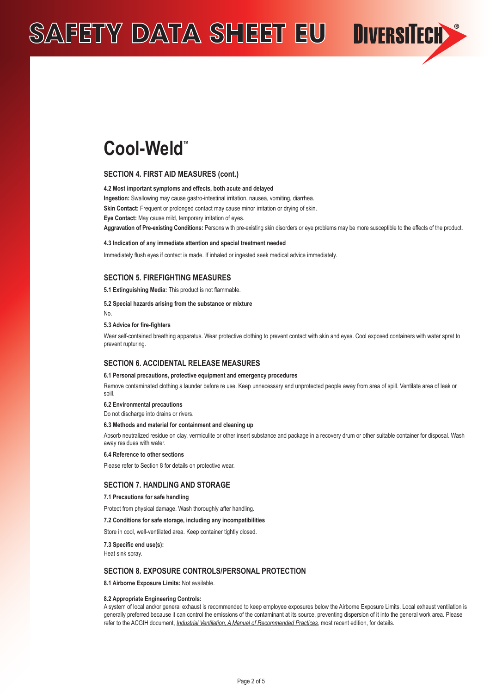

# **SECTION 4. FIRST AID MEASURES (cont.)**

#### **4.2 Most important symptoms and effects, both acute and delayed**

**Ingestion:** Swallowing may cause gastro-intestinal irritation, nausea, vomiting, diarrhea.

**Skin Contact:** Frequent or prolonged contact may cause minor irritation or drying of skin.

**Eye Contact:** May cause mild, temporary irritation of eyes.

**Aggravation of Pre-existing Conditions:** Persons with pre-existing skin disorders or eye problems may be more susceptible to the effects of the product.

DIVERSITECH

#### **4.3 Indication of any immediate attention and special treatment needed**

Immediately flush eyes if contact is made. If inhaled or ingested seek medical advice immediately.

# **SECTION 5. FIREFIGHTING MEASURES**

**5.1 Extinguishing Media:** This product is not flammable.

#### **5.2 Special hazards arising from the substance or mixture**

No.

#### **5.3 Advice for fire-fighters**

Wear self-contained breathing apparatus. Wear protective clothing to prevent contact with skin and eyes. Cool exposed containers with water sprat to prevent rupturing.

#### **SECTION 6. ACCIDENTAL RELEASE MEASURES**

#### **6.1 Personal precautions, protective equipment and emergency procedures**

Remove contaminated clothing a launder before re use. Keep unnecessary and unprotected people away from area of spill. Ventilate area of leak or spill.

#### **6.2 Environmental precautions**

Do not discharge into drains or rivers.

#### **6.3 Methods and material for containment and cleaning up**

Absorb neutralized residue on clay, vermiculite or other insert substance and package in a recovery drum or other suitable container for disposal. Wash away residues with water.

#### **6.4 Reference to other sections**

Please refer to Section 8 for details on protective wear.

#### **SECTION 7. HANDLING AND STORAGE**

#### **7.1 Precautions for safe handling**

Protect from physical damage. Wash thoroughly after handling.

### **7.2 Conditions for safe storage, including any incompatibilities**

Store in cool, well-ventilated area. Keep container tightly closed.

**7.3 Specific end use(s):**

Heat sink spray.

#### **SECTION 8. EXPOSURE CONTROLS/PERSONAL PROTECTION**

**8.1 Airborne Exposure Limits:** Not available.

#### **8.2 Appropriate Engineering Controls:**

A system of local and/or general exhaust is recommended to keep employee exposures below the Airborne Exposure Limits. Local exhaust ventilation is generally preferred because it can control the emissions of the contaminant at its source, preventing dispersion of it into the general work area. Please refer to the ACGIH document, *Industrial Ventilation, A Manual of Recommended Practices*, most recent edition, for details.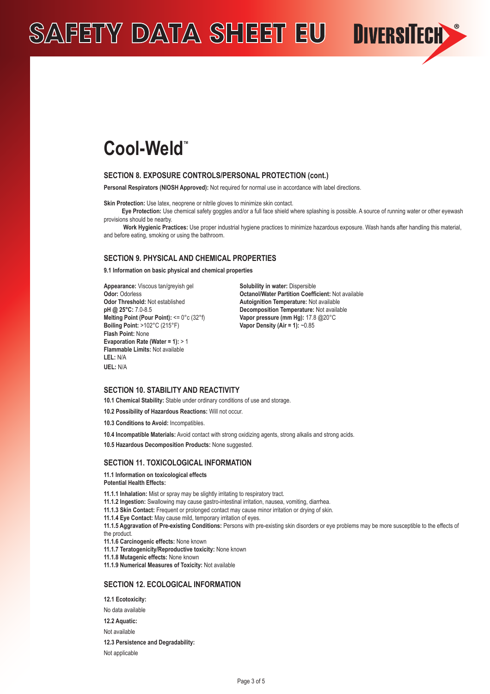

### **SECTION 8. EXPOSURE CONTROLS/PERSONAL PROTECTION (cont.)**

**Personal Respirators (NIOSH Approved):** Not required for normal use in accordance with label directions.

**Skin Protection:** Use latex, neoprene or nitrile gloves to minimize skin contact.

 **Eye Protection:** Use chemical safety goggles and/or a full face shield where splashing is possible. A source of running water or other eyewash provisions should be nearby.

**DIVERSITECH** 

Work Hygienic Practices: Use proper industrial hygiene practices to minimize hazardous exposure. Wash hands after handling this material. and before eating, smoking or using the bathroom.

### **SECTION 9. PHYSICAL AND CHEMICAL PROPERTIES**

**9.1 Information on basic physical and chemical properties**

**Appearance:** Viscous tan/greyish gel **Solubility in water:** Dispersible **Odor Threshold:** Not established **Autoignition Temperature:** Not available pH @ 25°C: 7.0-8.5 **Melting Point (Pour Point):** <= 0°c (32°f) **Vapor pressure (mm Hg):** 17.8 @20°C **Boiling Point:** >102°C (215°F) **Vapor Density (Air = 1):** ~0.85 **Flash Point:** None **Evaporation Rate (Water = 1):** > 1 **Flammable Limits:** Not available **LEL:** N/A **UEL:** N/A

**Odor:** Odorless **Octanol/Water Partition Coefficient:** Not available<br> **Odor:** Threshold: Not established **Autoionition Temperature:** Not available **Decomposition Temperature:** Not available

#### **SECTION 10. STABILITY AND REACTIVITY**

**10.1 Chemical Stability:** Stable under ordinary conditions of use and storage.

**10.2 Possibility of Hazardous Reactions:** Will not occur.

**10.3 Conditions to Avoid:** Incompatibles.

**10.4 Incompatible Materials:** Avoid contact with strong oxidizing agents, strong alkalis and strong acids.

**10.5 Hazardous Decomposition Products:** None suggested.

#### **SECTION 11. TOXICOLOGICAL INFORMATION**

**11.1 Information on toxicological effects Potential Health Effects:**

**11.1.1 Inhalation:** Mist or spray may be slightly irritating to respiratory tract.

- **11.1.2 Ingestion:** Swallowing may cause gastro-intestinal irritation, nausea, vomiting, diarrhea.
- **11.1.3 Skin Contact:** Frequent or prolonged contact may cause minor irritation or drying of skin.
- **11.1.4 Eye Contact:** May cause mild, temporary irritation of eyes.

**11.1.5 Aggravation of Pre-existing Conditions:** Persons with pre-existing skin disorders or eye problems may be more susceptible to the effects of the product.

**11.1.6 Carcinogenic effects:** None known

**11.1.7 Teratogenicity/Reproductive toxicity:** None known

**11.1.8 Mutagenic effects:** None known

**11.1.9 Numerical Measures of Toxicity:** Not available

### **SECTION 12. ECOLOGICAL INFORMATION**

**12.1 Ecotoxicity:** 

No data available

**12.2 Aquatic:** 

Not available

**12.3 Persistence and Degradability:** 

Not applicable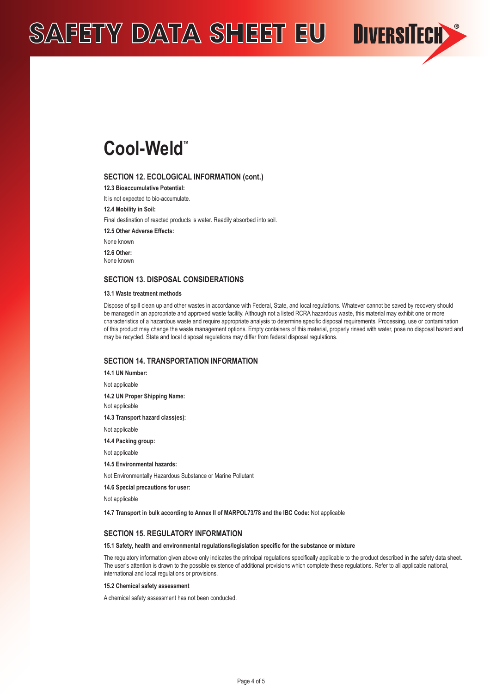

#### **SECTION 12. ECOLOGICAL INFORMATION (cont.)**

**12.3 Bioaccumulative Potential:** 

It is not expected to bio-accumulate.

**12.4 Mobility in Soil:** 

Final destination of reacted products is water. Readily absorbed into soil.

**12.5 Other Adverse Effects:**

None known

**12.6 Other:** None known

### **SECTION 13. DISPOSAL CONSIDERATIONS**

#### **13.1 Waste treatment methods**

Dispose of spill clean up and other wastes in accordance with Federal, State, and local regulations. Whatever cannot be saved by recovery should be managed in an appropriate and approved waste facility. Although not a listed RCRA hazardous waste, this material may exhibit one or more characteristics of a hazardous waste and require appropriate analysis to determine specific disposal requirements. Processing, use or contamination of this product may change the waste management options. Empty containers of this material, properly rinsed with water, pose no disposal hazard and may be recycled. State and local disposal regulations may differ from federal disposal regulations.

**DIVERSITECH** 

# **SECTION 14. TRANSPORTATION INFORMATION**

**14.1 UN Number:** Not applicable **14.2 UN Proper Shipping Name:**  Not applicable **14.3 Transport hazard class(es):**  Not applicable **14.4 Packing group:**  Not applicable **14.5 Environmental hazards:**  Not Environmentally Hazardous Substance or Marine Pollutant

**14.6 Special precautions for user:** 

Not applicable

**14.7 Transport in bulk according to Annex II of MARPOL73/78 and the IBC Code:** Not applicable

#### **SECTION 15. REGULATORY INFORMATION**

#### **15.1 Safety, health and environmental regulations/legislation specific for the substance or mixture**

The regulatory information given above only indicates the principal regulations specifically applicable to the product described in the safety data sheet. The user's attention is drawn to the possible existence of additional provisions which complete these regulations. Refer to all applicable national, international and local regulations or provisions.

#### **15.2 Chemical safety assessment**

A chemical safety assessment has not been conducted.